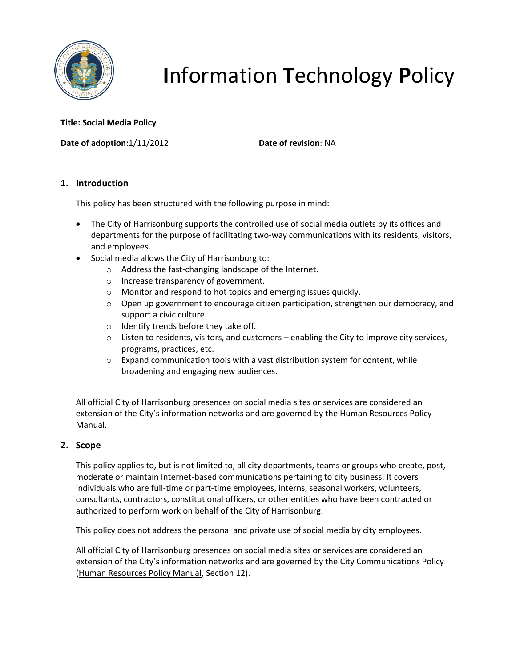

# **I**nformation **T**echnology **P**olicy

| <b>Title: Social Media Policy</b> |                             |
|-----------------------------------|-----------------------------|
| Date of adoption:1/11/2012        | <b>Date of revision: NA</b> |

# **1. Introduction**

This policy has been structured with the following purpose in mind:

- The City of Harrisonburg supports the controlled use of social media outlets by its offices and departments for the purpose of facilitating two-way communications with its residents, visitors, and employees.
- Social media allows the City of Harrisonburg to:
	- o Address the fast-changing landscape of the Internet.
	- o Increase transparency of government.
	- o Monitor and respond to hot topics and emerging issues quickly.
	- $\circ$  Open up government to encourage citizen participation, strengthen our democracy, and support a civic culture.
	- $\circ$  Identify trends before they take off.
	- $\circ$  Listen to residents, visitors, and customers enabling the City to improve city services, programs, practices, etc.
	- o Expand communication tools with a vast distribution system for content, while broadening and engaging new audiences.

All official City of Harrisonburg presences on social media sites or services are considered an extension of the City's information networks and are governed by the Human Resources Policy Manual.

# **2. Scope**

This policy applies to, but is not limited to, all city departments, teams or groups who create, post, moderate or maintain Internet-based communications pertaining to city business. It covers individuals who are full-time or part-time employees, interns, seasonal workers, volunteers, consultants, contractors, constitutional officers, or other entities who have been contracted or authorized to perform work on behalf of the City of Harrisonburg.

This policy does not address the personal and private use of social media by city employees.

All official City of Harrisonburg presences on social media sites or services are considered an extension of the City's information networks and are governed by the City Communications Policy (Human Resources Policy Manual, Section 12).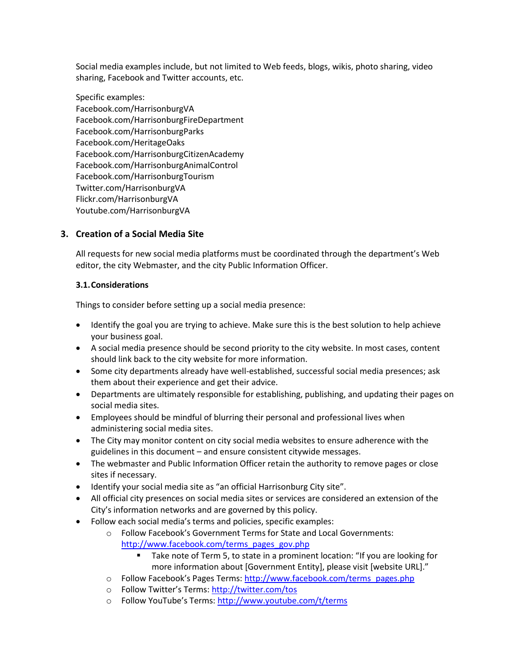Social media examples include, but not limited to Web feeds, blogs, wikis, photo sharing, video sharing, Facebook and Twitter accounts, etc.

Specific examples: Facebook.com/HarrisonburgVA Facebook.com/HarrisonburgFireDepartment Facebook.com/HarrisonburgParks Facebook.com/HeritageOaks Facebook.com/HarrisonburgCitizenAcademy Facebook.com/HarrisonburgAnimalControl Facebook.com/HarrisonburgTourism Twitter.com/HarrisonburgVA Flickr.com/HarrisonburgVA Youtube.com/HarrisonburgVA

# **3. Creation of a Social Media Site**

All requests for new social media platforms must be coordinated through the department's Web editor, the city Webmaster, and the city Public Information Officer.

# **3.1.Considerations**

Things to consider before setting up a social media presence:

- Identify the goal you are trying to achieve. Make sure this is the best solution to help achieve your business goal.
- A social media presence should be second priority to the city website. In most cases, content should link back to the city website for more information.
- Some city departments already have well-established, successful social media presences; ask them about their experience and get their advice.
- Departments are ultimately responsible for establishing, publishing, and updating their pages on social media sites.
- Employees should be mindful of blurring their personal and professional lives when administering social media sites.
- The City may monitor content on city social media websites to ensure adherence with the guidelines in this document – and ensure consistent citywide messages.
- The webmaster and Public Information Officer retain the authority to remove pages or close sites if necessary.
- Identify your social media site as "an official Harrisonburg City site".
- All official city presences on social media sites or services are considered an extension of the City's information networks and are governed by this policy.
- Follow each social media's terms and policies, specific examples:
	- o Follow Facebook's Government Terms for State and Local Governments: [http://www.facebook.com/terms\\_pages\\_gov.php](http://www.facebook.com/terms_pages_gov.php)
		- Take note of Term 5, to state in a prominent location: "If you are looking for more information about [Government Entity], please visit [website URL]."
	- o Follow Facebook's Pages Terms: [http://www.facebook.com/terms\\_pages.php](http://www.facebook.com/terms_pages.php)
	- o Follow Twitter's Terms: <http://twitter.com/tos>
	- o Follow YouTube's Terms: <http://www.youtube.com/t/terms>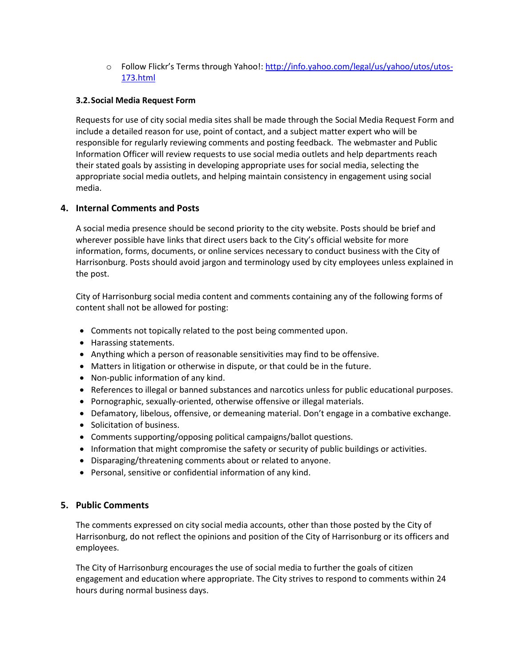o Follow Flickr's Terms through Yahoo!: [http://info.yahoo.com/legal/us/yahoo/utos/utos-](http://info.yahoo.com/legal/us/yahoo/utos/utos-173.html)[173.html](http://info.yahoo.com/legal/us/yahoo/utos/utos-173.html)

# **3.2.Social Media Request Form**

Requests for use of city social media sites shall be made through the Social Media Request Form and include a detailed reason for use, point of contact, and a subject matter expert who will be responsible for regularly reviewing comments and posting feedback. The webmaster and Public Information Officer will review requests to use social media outlets and help departments reach their stated goals by assisting in developing appropriate uses for social media, selecting the appropriate social media outlets, and helping maintain consistency in engagement using social media.

# **4. Internal Comments and Posts**

A social media presence should be second priority to the city website. Posts should be brief and wherever possible have links that direct users back to the City's official website for more information, forms, documents, or online services necessary to conduct business with the City of Harrisonburg. Posts should avoid jargon and terminology used by city employees unless explained in the post.

City of Harrisonburg social media content and comments containing any of the following forms of content shall not be allowed for posting:

- Comments not topically related to the post being commented upon.
- Harassing statements.
- Anything which a person of reasonable sensitivities may find to be offensive.
- Matters in litigation or otherwise in dispute, or that could be in the future.
- Non-public information of any kind.
- References to illegal or banned substances and narcotics unless for public educational purposes.
- Pornographic, sexually-oriented, otherwise offensive or illegal materials.
- Defamatory, libelous, offensive, or demeaning material. Don't engage in a combative exchange.
- Solicitation of business.
- Comments supporting/opposing political campaigns/ballot questions.
- Information that might compromise the safety or security of public buildings or activities.
- Disparaging/threatening comments about or related to anyone.
- Personal, sensitive or confidential information of any kind.

# **5. Public Comments**

The comments expressed on city social media accounts, other than those posted by the City of Harrisonburg, do not reflect the opinions and position of the City of Harrisonburg or its officers and employees.

The City of Harrisonburg encourages the use of social media to further the goals of citizen engagement and education where appropriate. The City strives to respond to comments within 24 hours during normal business days.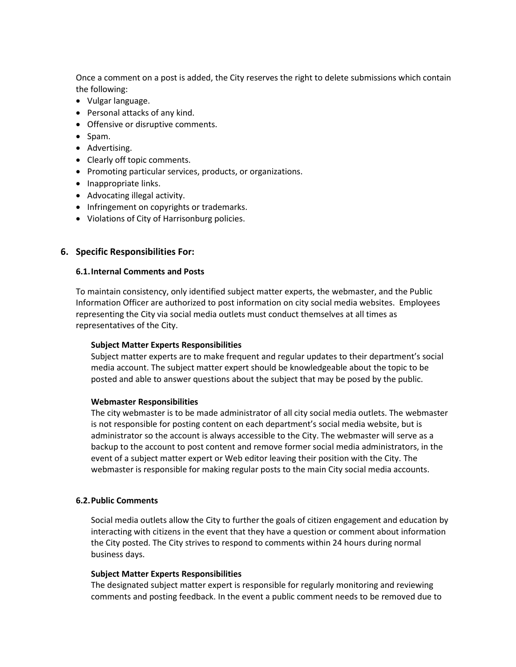Once a comment on a post is added, the City reserves the right to delete submissions which contain the following:

- Vulgar language.
- Personal attacks of any kind.
- Offensive or disruptive comments.
- Spam.
- Advertising.
- Clearly off topic comments.
- Promoting particular services, products, or organizations.
- Inappropriate links.
- Advocating illegal activity.
- Infringement on copyrights or trademarks.
- Violations of City of Harrisonburg policies.

# **6. Specific Responsibilities For:**

#### **6.1.Internal Comments and Posts**

To maintain consistency, only identified subject matter experts, the webmaster, and the Public Information Officer are authorized to post information on city social media websites. Employees representing the City via social media outlets must conduct themselves at all times as representatives of the City.

# **Subject Matter Experts Responsibilities**

Subject matter experts are to make frequent and regular updates to their department's social media account. The subject matter expert should be knowledgeable about the topic to be posted and able to answer questions about the subject that may be posed by the public.

#### **Webmaster Responsibilities**

The city webmaster is to be made administrator of all city social media outlets. The webmaster is not responsible for posting content on each department's social media website, but is administrator so the account is always accessible to the City. The webmaster will serve as a backup to the account to post content and remove former social media administrators, in the event of a subject matter expert or Web editor leaving their position with the City. The webmaster is responsible for making regular posts to the main City social media accounts.

# **6.2.Public Comments**

Social media outlets allow the City to further the goals of citizen engagement and education by interacting with citizens in the event that they have a question or comment about information the City posted. The City strives to respond to comments within 24 hours during normal business days.

#### **Subject Matter Experts Responsibilities**

The designated subject matter expert is responsible for regularly monitoring and reviewing comments and posting feedback. In the event a public comment needs to be removed due to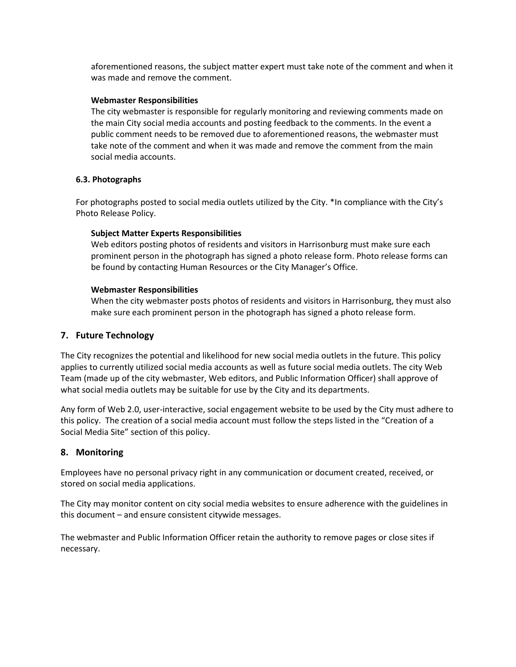aforementioned reasons, the subject matter expert must take note of the comment and when it was made and remove the comment.

# **Webmaster Responsibilities**

The city webmaster is responsible for regularly monitoring and reviewing comments made on the main City social media accounts and posting feedback to the comments. In the event a public comment needs to be removed due to aforementioned reasons, the webmaster must take note of the comment and when it was made and remove the comment from the main social media accounts.

# **6.3. Photographs**

For photographs posted to social media outlets utilized by the City. \*In compliance with the City's Photo Release Policy.

# **Subject Matter Experts Responsibilities**

Web editors posting photos of residents and visitors in Harrisonburg must make sure each prominent person in the photograph has signed a photo release form. Photo release forms can be found by contacting Human Resources or the City Manager's Office.

# **Webmaster Responsibilities**

When the city webmaster posts photos of residents and visitors in Harrisonburg, they must also make sure each prominent person in the photograph has signed a photo release form.

# **7. Future Technology**

The City recognizes the potential and likelihood for new social media outlets in the future. This policy applies to currently utilized social media accounts as well as future social media outlets. The city Web Team (made up of the city webmaster, Web editors, and Public Information Officer) shall approve of what social media outlets may be suitable for use by the City and its departments.

Any form of Web 2.0, user-interactive, social engagement website to be used by the City must adhere to this policy. The creation of a social media account must follow the steps listed in the "Creation of a Social Media Site" section of this policy.

# **8. Monitoring**

Employees have no personal privacy right in any communication or document created, received, or stored on social media applications.

The City may monitor content on city social media websites to ensure adherence with the guidelines in this document – and ensure consistent citywide messages.

The webmaster and Public Information Officer retain the authority to remove pages or close sites if necessary.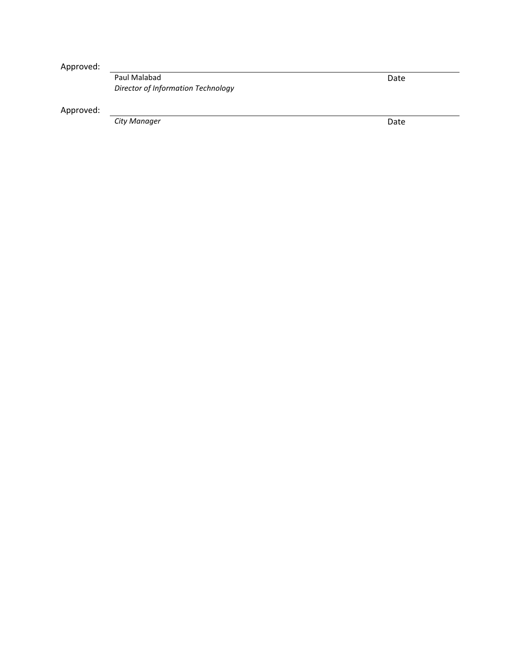Approved:

Paul Malabad *Director of Information Technology*

Approved:

**City Manager** 

Date

Date